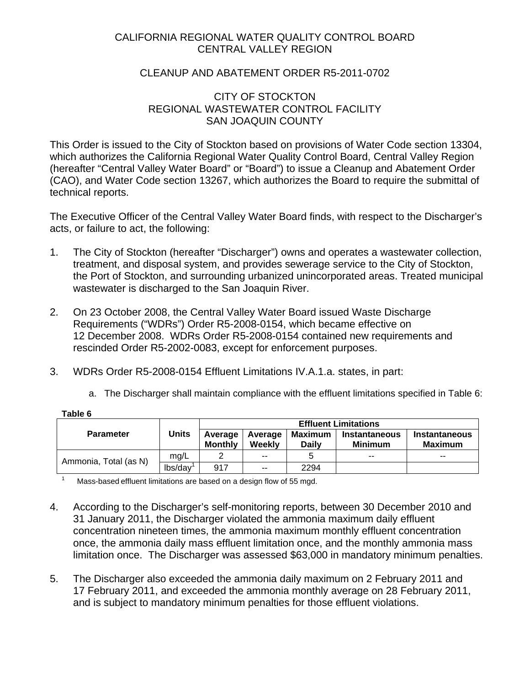## CALIFORNIA REGIONAL WATER QUALITY CONTROL BOARD CENTRAL VALLEY REGION

### CLEANUP AND ABATEMENT ORDER R5-2011-0702

### CITY OF STOCKTON REGIONAL WASTEWATER CONTROL FACILITY SAN JOAQUIN COUNTY

This Order is issued to the City of Stockton based on provisions of Water Code section 13304, which authorizes the California Regional Water Quality Control Board, Central Valley Region (hereafter "Central Valley Water Board" or "Board") to issue a Cleanup and Abatement Order (CAO), and Water Code section 13267, which authorizes the Board to require the submittal of technical reports.

The Executive Officer of the Central Valley Water Board finds, with respect to the Discharger's acts, or failure to act, the following:

- 1. The City of Stockton (hereafter "Discharger") owns and operates a wastewater collection, treatment, and disposal system, and provides sewerage service to the City of Stockton, the Port of Stockton, and surrounding urbanized unincorporated areas. Treated municipal wastewater is discharged to the San Joaquin River.
- 2. On 23 October 2008, the Central Valley Water Board issued Waste Discharge Requirements ("WDRs") Order R5-2008-0154, which became effective on 12 December 2008. WDRs Order R5-2008-0154 contained new requirements and rescinded Order R5-2002-0083, except for enforcement purposes.
- 3. WDRs Order R5-2008-0154 Effluent Limitations IV.A.1.a. states, in part:
	- a. The Discharger shall maintain compliance with the effluent limitations specified in Table 6:

| <b>Parameter</b>      | Units   | <b>Effluent Limitations</b> |                   |                         |                                 |                                        |
|-----------------------|---------|-----------------------------|-------------------|-------------------------|---------------------------------|----------------------------------------|
|                       |         | Average<br><b>Monthly</b>   | Average<br>Weekly | Maximum<br><b>Daily</b> | Instantaneous<br><b>Minimum</b> | <b>Instantaneous</b><br><b>Maximum</b> |
| Ammonia, Total (as N) | mg/L    |                             | $- -$             |                         | $- -$                           | $- -$                                  |
|                       | lbs/day | 917                         | $- -$             | 2294                    |                                 |                                        |

Mass-based effluent limitations are based on a design flow of 55 mgd.

**Table 6** 

- 4. According to the Discharger's self-monitoring reports, between 30 December 2010 and 31 January 2011, the Discharger violated the ammonia maximum daily effluent concentration nineteen times, the ammonia maximum monthly effluent concentration once, the ammonia daily mass effluent limitation once, and the monthly ammonia mass limitation once. The Discharger was assessed \$63,000 in mandatory minimum penalties.
- 5. The Discharger also exceeded the ammonia daily maximum on 2 February 2011 and 17 February 2011, and exceeded the ammonia monthly average on 28 February 2011, and is subject to mandatory minimum penalties for those effluent violations.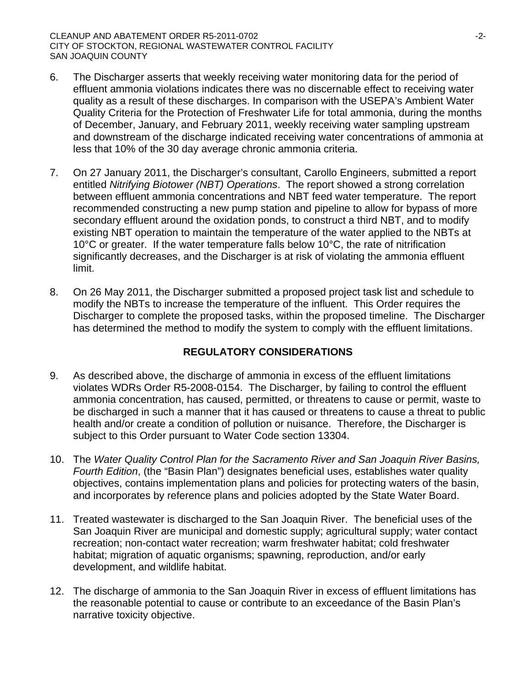- 6. The Discharger asserts that weekly receiving water monitoring data for the period of effluent ammonia violations indicates there was no discernable effect to receiving water quality as a result of these discharges. In comparison with the USEPA's Ambient Water Quality Criteria for the Protection of Freshwater Life for total ammonia, during the months of December, January, and February 2011, weekly receiving water sampling upstream and downstream of the discharge indicated receiving water concentrations of ammonia at less that 10% of the 30 day average chronic ammonia criteria.
- 7. On 27 January 2011, the Discharger's consultant, Carollo Engineers, submitted a report entitled *Nitrifying Biotower (NBT) Operations*. The report showed a strong correlation between effluent ammonia concentrations and NBT feed water temperature. The report recommended constructing a new pump station and pipeline to allow for bypass of more secondary effluent around the oxidation ponds, to construct a third NBT, and to modify existing NBT operation to maintain the temperature of the water applied to the NBTs at 10°C or greater. If the water temperature falls below 10°C, the rate of nitrification significantly decreases, and the Discharger is at risk of violating the ammonia effluent limit.
- 8. On 26 May 2011, the Discharger submitted a proposed project task list and schedule to modify the NBTs to increase the temperature of the influent. This Order requires the Discharger to complete the proposed tasks, within the proposed timeline. The Discharger has determined the method to modify the system to comply with the effluent limitations.

# **REGULATORY CONSIDERATIONS**

- 9. As described above, the discharge of ammonia in excess of the effluent limitations violates WDRs Order R5-2008-0154. The Discharger, by failing to control the effluent ammonia concentration, has caused, permitted, or threatens to cause or permit, waste to be discharged in such a manner that it has caused or threatens to cause a threat to public health and/or create a condition of pollution or nuisance. Therefore, the Discharger is subject to this Order pursuant to Water Code section 13304.
- 10. The *Water Quality Control Plan for the Sacramento River and San Joaquin River Basins, Fourth Edition*, (the "Basin Plan") designates beneficial uses, establishes water quality objectives, contains implementation plans and policies for protecting waters of the basin, and incorporates by reference plans and policies adopted by the State Water Board.
- 11. Treated wastewater is discharged to the San Joaquin River. The beneficial uses of the San Joaquin River are municipal and domestic supply; agricultural supply; water contact recreation; non-contact water recreation; warm freshwater habitat; cold freshwater habitat; migration of aquatic organisms; spawning, reproduction, and/or early development, and wildlife habitat.
- 12. The discharge of ammonia to the San Joaquin River in excess of effluent limitations has the reasonable potential to cause or contribute to an exceedance of the Basin Plan's narrative toxicity objective.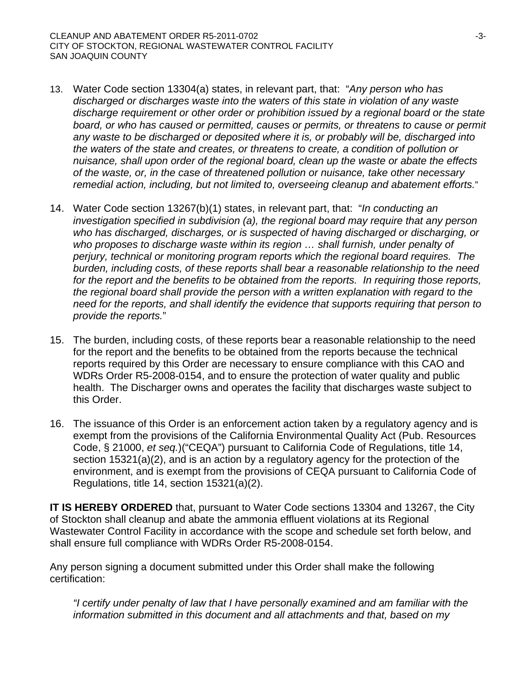- 13. Water Code section 13304(a) states, in relevant part, that: "*Any person who has discharged or discharges waste into the waters of this state in violation of any waste discharge requirement or other order or prohibition issued by a regional board or the state board, or who has caused or permitted, causes or permits, or threatens to cause or permit any waste to be discharged or deposited where it is, or probably will be, discharged into the waters of the state and creates, or threatens to create, a condition of pollution or nuisance, shall upon order of the regional board, clean up the waste or abate the effects of the waste, or, in the case of threatened pollution or nuisance, take other necessary remedial action, including, but not limited to, overseeing cleanup and abatement efforts.*"
- 14. Water Code section 13267(b)(1) states, in relevant part, that: "*In conducting an investigation specified in subdivision (a), the regional board may require that any person who has discharged, discharges, or is suspected of having discharged or discharging, or*  who proposes to discharge waste within its region ... shall furnish, under penalty of *perjury, technical or monitoring program reports which the regional board requires. The burden, including costs, of these reports shall bear a reasonable relationship to the need for the report and the benefits to be obtained from the reports. In requiring those reports, the regional board shall provide the person with a written explanation with regard to the need for the reports, and shall identify the evidence that supports requiring that person to provide the reports.*"
- 15. The burden, including costs, of these reports bear a reasonable relationship to the need for the report and the benefits to be obtained from the reports because the technical reports required by this Order are necessary to ensure compliance with this CAO and WDRs Order R5-2008-0154, and to ensure the protection of water quality and public health. The Discharger owns and operates the facility that discharges waste subject to this Order.
- 16. The issuance of this Order is an enforcement action taken by a regulatory agency and is exempt from the provisions of the California Environmental Quality Act (Pub. Resources Code, § 21000, *et seq.*)("CEQA") pursuant to California Code of Regulations, title 14, section 15321(a)(2), and is an action by a regulatory agency for the protection of the environment, and is exempt from the provisions of CEQA pursuant to California Code of Regulations, title 14, section 15321(a)(2).

**IT IS HEREBY ORDERED** that, pursuant to Water Code sections 13304 and 13267, the City of Stockton shall cleanup and abate the ammonia effluent violations at its Regional Wastewater Control Facility in accordance with the scope and schedule set forth below, and shall ensure full compliance with WDRs Order R5-2008-0154.

Any person signing a document submitted under this Order shall make the following certification:

*"I certify under penalty of law that I have personally examined and am familiar with the information submitted in this document and all attachments and that, based on my*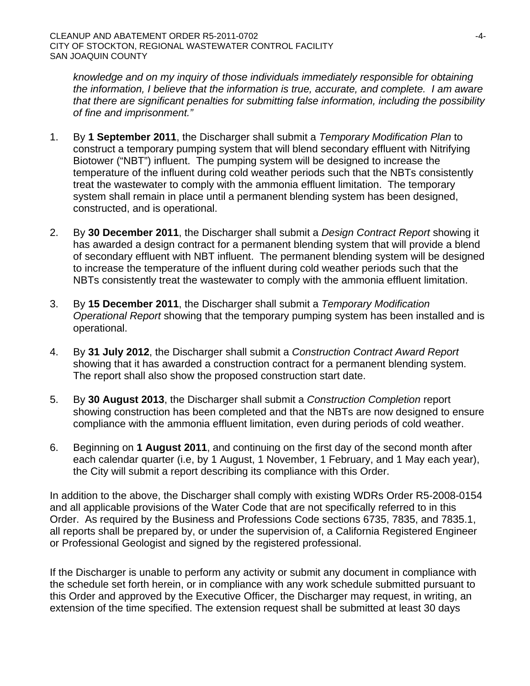*knowledge and on my inquiry of those individuals immediately responsible for obtaining the information, I believe that the information is true, accurate, and complete. I am aware that there are significant penalties for submitting false information, including the possibility of fine and imprisonment."* 

- 1. By **1 September 2011**, the Discharger shall submit a *Temporary Modification Plan* to construct a temporary pumping system that will blend secondary effluent with Nitrifying Biotower ("NBT") influent. The pumping system will be designed to increase the temperature of the influent during cold weather periods such that the NBTs consistently treat the wastewater to comply with the ammonia effluent limitation. The temporary system shall remain in place until a permanent blending system has been designed, constructed, and is operational.
- 2. By **30 December 2011**, the Discharger shall submit a *Design Contract Report* showing it has awarded a design contract for a permanent blending system that will provide a blend of secondary effluent with NBT influent. The permanent blending system will be designed to increase the temperature of the influent during cold weather periods such that the NBTs consistently treat the wastewater to comply with the ammonia effluent limitation.
- 3. By **15 December 2011**, the Discharger shall submit a *Temporary Modification Operational Report* showing that the temporary pumping system has been installed and is operational.
- 4. By **31 July 2012**, the Discharger shall submit a *Construction Contract Award Report* showing that it has awarded a construction contract for a permanent blending system. The report shall also show the proposed construction start date.
- 5. By **30 August 2013**, the Discharger shall submit a *Construction Completion* report showing construction has been completed and that the NBTs are now designed to ensure compliance with the ammonia effluent limitation, even during periods of cold weather.
- 6. Beginning on **1 August 2011**, and continuing on the first day of the second month after each calendar quarter (i.e, by 1 August, 1 November, 1 February, and 1 May each year), the City will submit a report describing its compliance with this Order.

In addition to the above, the Discharger shall comply with existing WDRs Order R5-2008-0154 and all applicable provisions of the Water Code that are not specifically referred to in this Order. As required by the Business and Professions Code sections 6735, 7835, and 7835.1, all reports shall be prepared by, or under the supervision of, a California Registered Engineer or Professional Geologist and signed by the registered professional.

If the Discharger is unable to perform any activity or submit any document in compliance with the schedule set forth herein, or in compliance with any work schedule submitted pursuant to this Order and approved by the Executive Officer, the Discharger may request, in writing, an extension of the time specified. The extension request shall be submitted at least 30 days